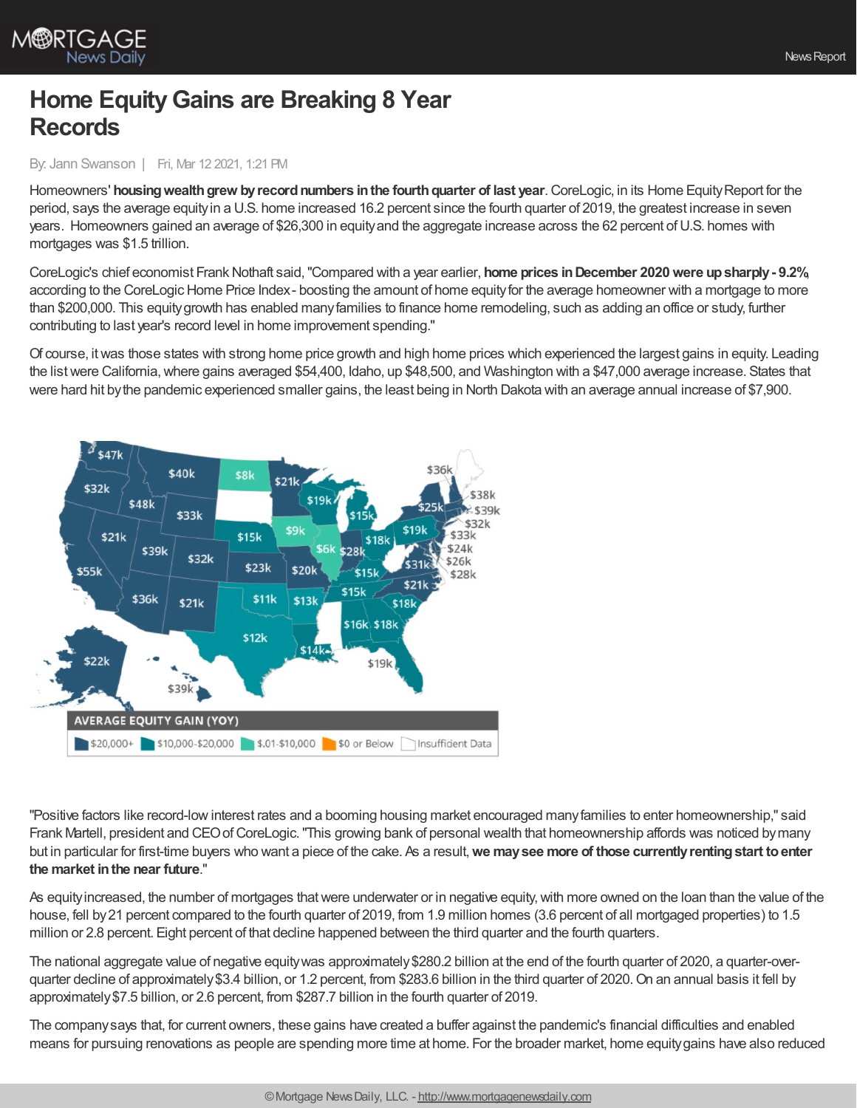

## **Home EquityGains are Breaking 8 Year Records**

## By: Jann Swanson | Fri, Mar 12 2021, 1:21 PM

Homeowners' **housingwealthgrew byrecordnumbers inthe fourthquarter of last year**.CoreLogic, in its Home EquityReport for the period, says the average equityin a U.S. home increased 16.2 percent since the fourth quarter of 2019, the greatest increase in seven years. Homeowners gained an average of \$26,300 in equityand the aggregate increase across the 62 percent ofU.S. homes with mortgages was \$1.5 trillion.

CoreLogic's chief economist Frank Nothaft said, "Compared with a year earlier, **home prices in December 2020 were up sharply - 9.2%** according to the CoreLogic Home Price Index-boosting the amount of home equity for the average homeowner with a mortgage to more than \$200,000. This equitygrowth has enabled manyfamilies to finance home remodeling, such as adding an office or study, further contributing to last year's record level in home improvement spending."

Of course, itwas those states with strong home price growth and high home prices which experienced the largest gains in equity. Leading the list were California, where gains averaged \$54,400, Idaho, up \$48,500, and Washington with a \$47,000 average increase. States that were hard hit bythe pandemic experienced smaller gains, the least being in North Dakota with an average annual increase of \$7,900.



"Positive factors like record-lowinterest rates and a booming housing market encouraged manyfamilies to enter homeownership," said Frank Martell, president and CEOofCoreLogic."This growing bank of personal wealth that homeownership affords was noticed bymany but in particular for first-time buyers who want a piece of the cake. As a result,**we maysee more of those currentlyrentingstart toenter the market inthe near future**."

As equity increased, the number of mortgages that were underwater or in negative equity, with more owned on the loan than the value of the house, fell by21 percent compared to the fourth quarter of 2019, from 1.9 million homes (3.6 percent of all mortgaged properties) to 1.5 million or 2.8 percent. Eight percent of that decline happened between the third quarter and the fourth quarters.

The national aggregate value of negative equity was approximately \$280.2 billion at the end of the fourth quarter of 2020, a quarter-overquarter decline of approximately \$3.4 billion, or 1.2 percent, from \$283.6 billion in the third quarter of 2020. On an annual basis it fell by approximately\$7.5 billion, or 2.6 percent, from \$287.7 billion in the fourth quarter of 2019.

The companysays that, for current owners, these gains have created a buffer against the pandemic's financial difficulties and enabled means for pursuing renovations as people are spending more time at home. For the broader market, home equitygains have also reduced